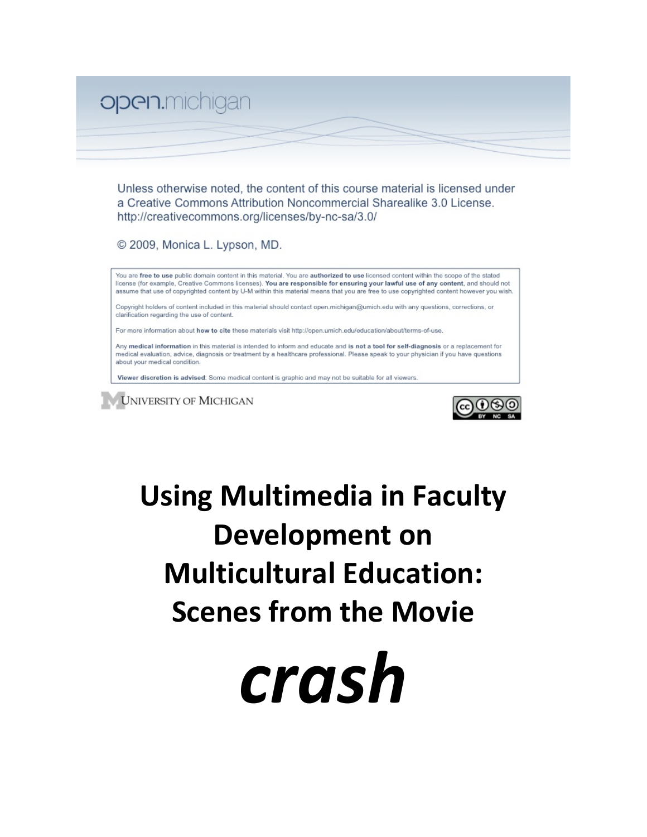

Unless otherwise noted, the content of this course material is licensed under a Creative Commons Attribution Noncommercial Sharealike 3.0 License. http://creativecommons.org/licenses/by-nc-sa/3.0/

© 2009, Monica L. Lypson, MD.

You are free to use public domain content in this material. You are authorized to use licensed content within the scope of the stated license (for example, Creative Commons licenses). You are responsible for ensuring your lawful use of any content, and should not assume that use of copyrighted content by U-M within this material means that you are free to use copyrighted content however you wish.

Copyright holders of content included in this material should contact open.michigan@umich.edu with any questions, corrections, or clarification regarding the use of content.

For more information about how to cite these materials visit http://open.umich.edu/education/about/terms-of-use.

Any medical information in this material is intended to inform and educate and is not a tool for self-diagnosis or a replacement for medical evaluation, advice, diagnosis or treatment by a healthcare professional. Please speak to your physician if you have questions about your medical condition.

Viewer discretion is advised: Some medical content is graphic and may not be suitable for all viewers.





# Using Multimedia in Faculty Development on **Multicultural
Education: Scenes
from
the
Movie**

*crash*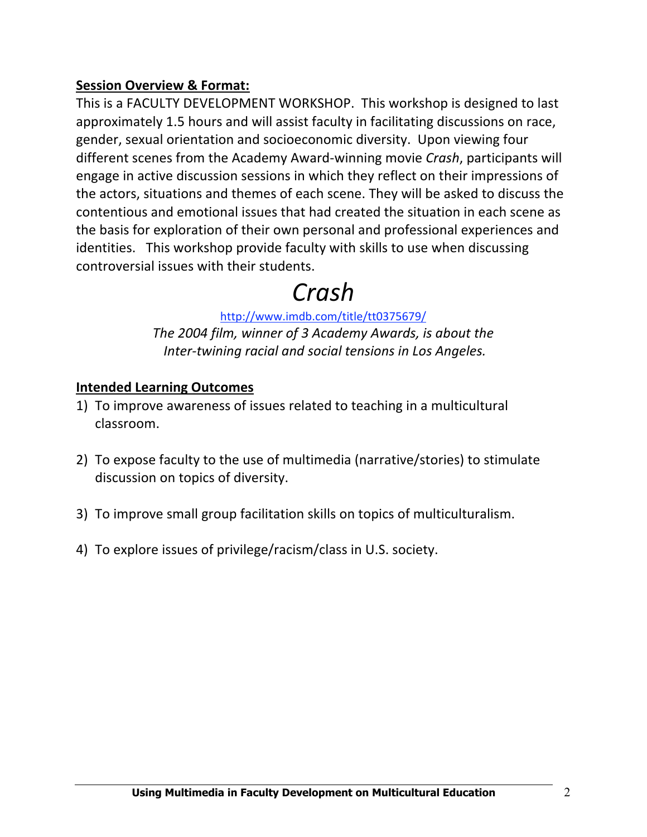#### **Session
Overview
&
Format:**

This
is
a
FACULTY
DEVELOPMENT
WORKSHOP.

This
workshop
is
designed
to
last approximately 1.5 hours and will assist faculty in facilitating discussions on race, gender,
sexual
orientation
and
socioeconomic
diversity.

Upon
viewing
four different
scenes
from
the
Academy
Award‐winning
movie *Crash*,
participants
will engage
in
active
discussion
sessions
in
which
they
reflect
on
their
impressions
of the actors, situations and themes of each scene. They will be asked to discuss the contentious
and
emotional
issues
that
had
created
the
situation
in
each
scene
as the basis for exploration of their own personal and professional experiences and identities.

This
workshop
provide
faculty
with
skills
to
use
when
discussing controversial
issues
with
their
students.

# *Crash*

http://www.imdb.com/title/tt0375679/ *The
2004
film,
winner
of
3
Academy
Awards,
is
about
the Inter‐twining
racial
and
social
tensions
in Los
Angeles.*

#### **Intended
Learning
Outcomes**

- 1) To
improve
awareness
of
issues
related
to
teaching
in
a
multicultural classroom.
- 2) To expose faculty to the use of multimedia (narrative/stories) to stimulate discussion
on
topics
of
diversity.
- 3) To
improve
small
group
facilitation
skills
on
topics
of
multiculturalism.
- 4) To
explore
issues
of
privilege/racism/class
in
U.S.
society.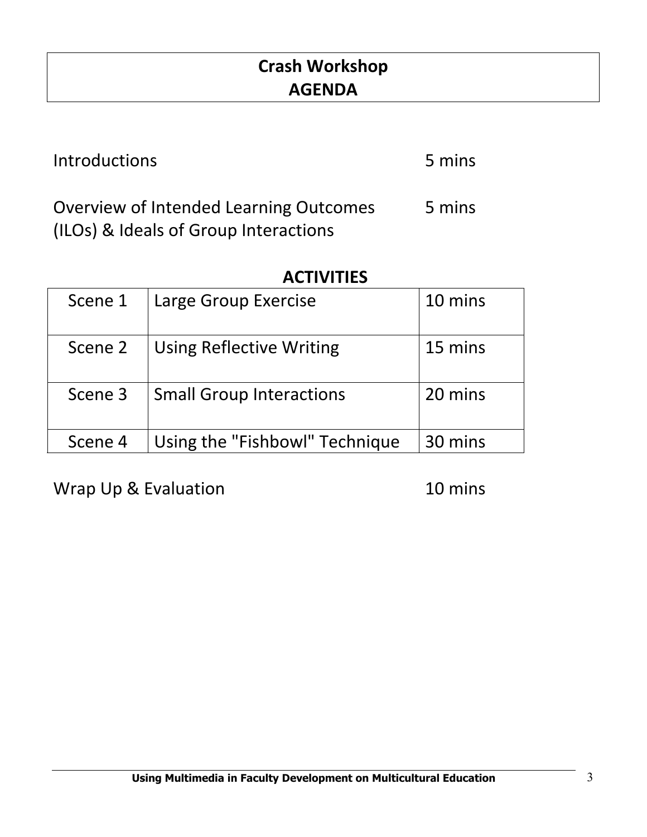# **Crash
Workshop AGENDA**

Introductions 5 mins Overview
of
Intended
Learning
Outcomes (ILOs)
&
Ideals
of
Group
Interactions 5
mins

# **ACTIVITIES**

| Scene 1 | Large Group Exercise            | 10 mins |
|---------|---------------------------------|---------|
| Scene 2 | <b>Using Reflective Writing</b> | 15 mins |
| Scene 3 | <b>Small Group Interactions</b> | 20 mins |
| Scene 4 | Using the "Fishbowl" Technique  | 30 mins |

Wrap Up & Evaluation 10 mins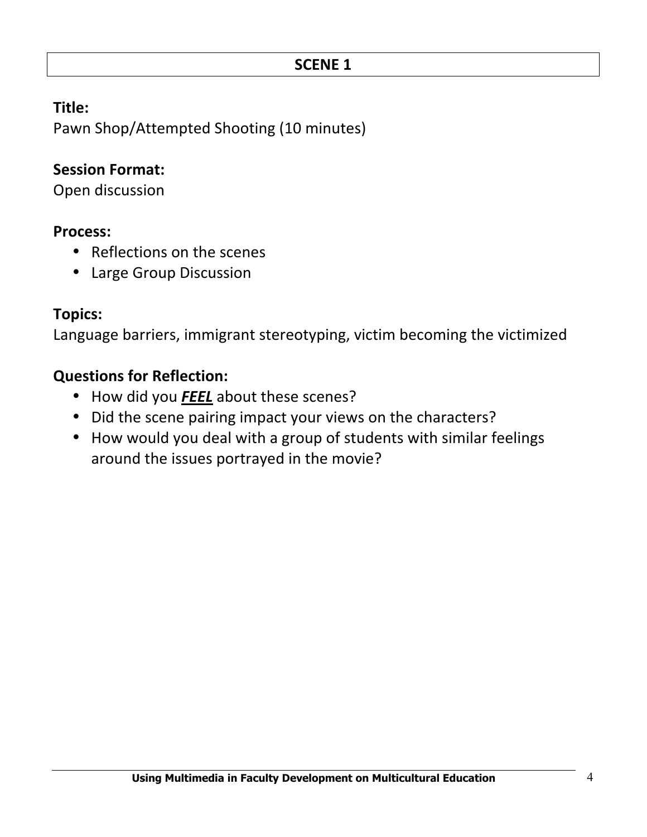Pawn
Shop/Attempted
Shooting
(10
minutes)

#### **Session
Format:**

Open
discussion

#### **Process:**

- Reflections on the scenes
- Large
Group
Discussion

#### **Topics:**

Language
barriers,
immigrant
stereotyping,
victim
becoming
the
victimized

#### **Questions
for
Reflection:**

- How did you **FEEL** about these scenes?
- Did the scene pairing impact your views on the characters?
- How would you deal with a group of students with similar feelings around
the
issues
portrayed
in
the
movie?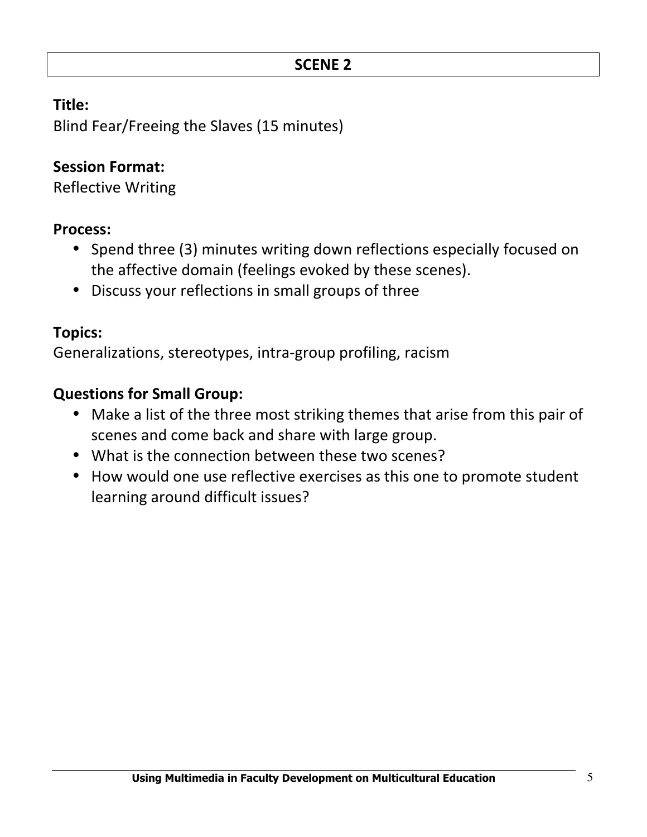Blind
Fear/Freeing
the
Slaves
(15
minutes)

# **Session
Format:**

Reflective
Writing

#### **Process:**

- Spend three (3) minutes writing down reflections especially focused on the
affective
domain
(feelings
evoked
by
these
scenes).
- Discuss your reflections in small groups of three

## **Topics:**

Generalizations,
stereotypes,
intra‐group
profiling,
racism

# **Questions
for
Small
Group:**

- Make a list of the three most striking themes that arise from this pair of scenes
and
come
back
and
share
with
large
group.
- What is the connection between these two scenes?
- How would one use reflective exercises as this one to promote student learning
around
difficult
issues?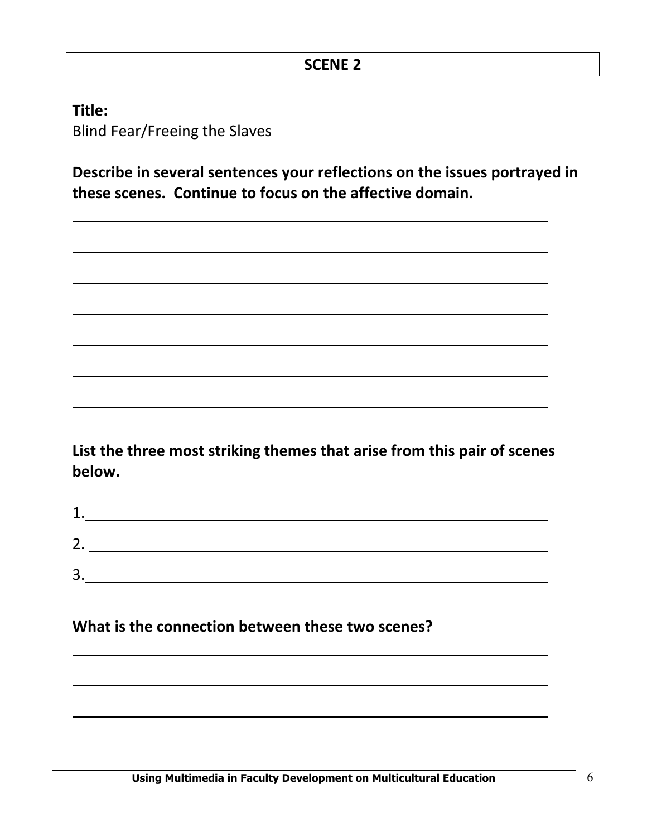**Title:** Blind
Fear/Freeing
the
Slaves

Describe in several sentences your reflections on the issues portrayed in **these
scenes.

Continue
to
focus
on
the
affective
domain.**

List the three most striking themes that arise from this pair of scenes **below.**

| ╭           |  |  |
|-------------|--|--|
| ⌒<br>۷.     |  |  |
| ◠<br>≺<br>◡ |  |  |

What is the connection between these two scenes?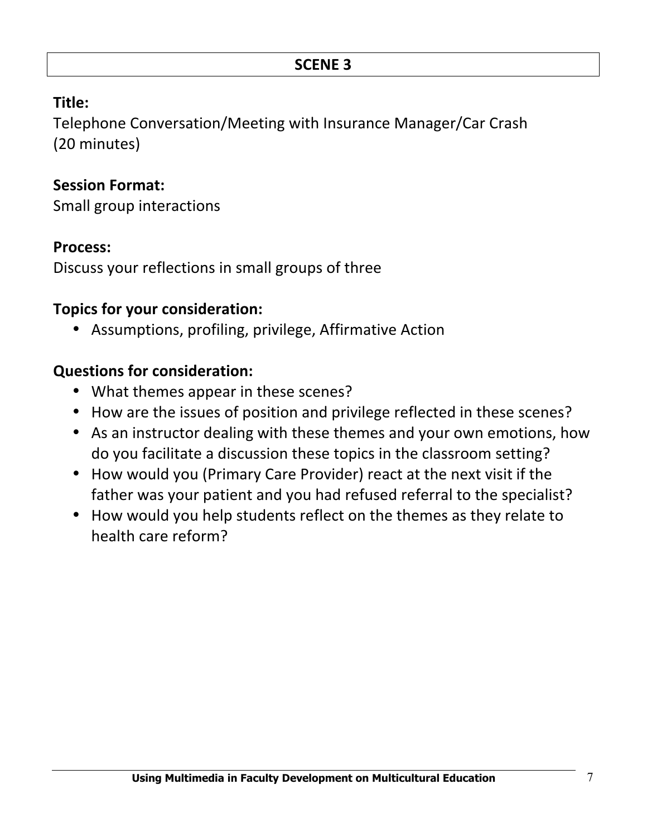Telephone
Conversation/Meeting
with
Insurance
Manager/Car
Crash (20
minutes)

# **Session
Format:**

Small
group
interactions

## **Process:**

Discuss
your
reflections
in
small
groups
of
three

# **Topics
for
your
consideration:**

• Assumptions,
profiling,
privilege,
Affirmative
Action

# **Questions
for
consideration:**

- What themes appear in these scenes?
- How are the issues of position and privilege reflected in these scenes?
- As an instructor dealing with these themes and your own emotions, how do you facilitate a discussion these topics in the classroom setting?
- How would you (Primary Care Provider) react at the next visit if the father was your patient and you had refused referral to the specialist?
- How would you help students reflect on the themes as they relate to health care reform?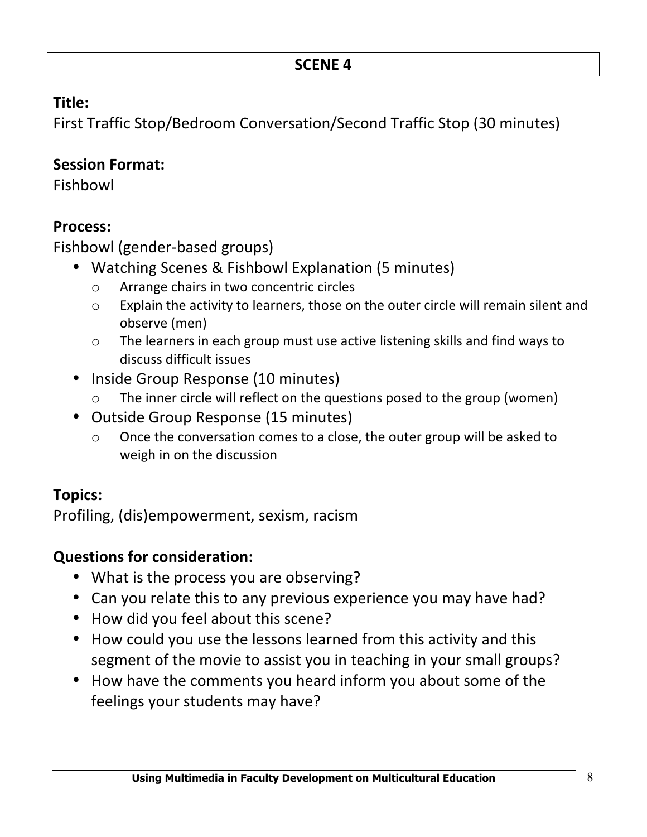First
Traffic
Stop/Bedroom
Conversation/Second
Traffic
Stop
(30
minutes)

#### **Session
Format:**

Fishbowl

#### **Process:**

Fishbowl
(gender‐based
groups)

- Watching Scenes & Fishbowl Explanation (5 minutes)
	- o Arrange
	chairs
	in
	two
	concentric
	circles
	- o Explain
	the
	activity
	to
	learners,
	those
	on
	the
	outer
	circle
	will
	remain
	silent
	and observe
	(men)
	- o The
	learners
	in
	each
	group
	must
	use
	active
	listening
	skills
	and
	find
	ways
	to discuss
	difficult
	issues
- Inside Group Response (10 minutes)
	- o The
	inner
	circle
	will
	reflect
	on
	the
	questions
	posed
	to
	the
	group
	(women)
- Outside
Group
Response
(15
minutes)
	- o Once
	the
	conversation
	comes
	to
	a
	close,
	the
	outer
	group
	will
	be
	asked
	to weigh
	in
	on
	the
	discussion

# **Topics:**

Profiling,
(dis)empowerment,
sexism,
racism

# **Questions
for
consideration:**

- What is the process you are observing?
- Can you relate this to any previous experience you may have had?
- How did you feel about this scene?
- How could you use the lessons learned from this activity and this segment of the movie to assist you in teaching in your small groups?
- How have the comments you heard inform you about some of the feelings
your
students
may
have?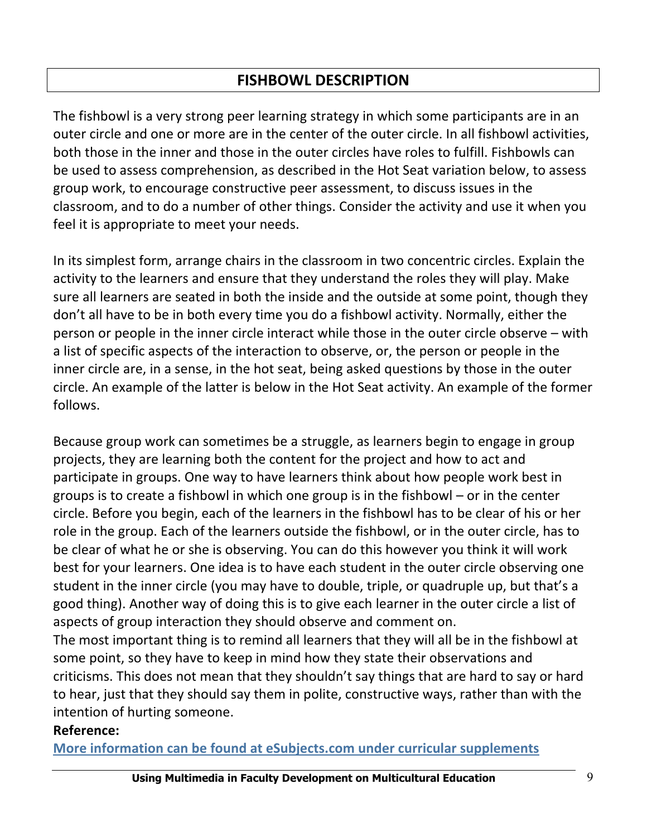## **FISHBOWL
DESCRIPTION**

The fishbowl is a very strong peer learning strategy in which some participants are in an outer circle and one or more are in the center of the outer circle. In all fishbowl activities, both those in the inner and those in the outer circles have roles to fulfill. Fishbowls can be
used
to
assess
comprehension,
as
described
in
the
Hot
Seat
variation
below,
to
assess group
work,
to
encourage
constructive
peer
assessment,
to
discuss
issues
in
the classroom,
and
to
do
a
number
of
other
things.
Consider
the
activity
and
use
it
when
you feel
it
is
appropriate
to
meet
your
needs.

In its simplest form, arrange chairs in the classroom in two concentric circles. Explain the activity to the learners and ensure that they understand the roles they will play. Make sure all learners are seated in both the inside and the outside at some point, though they don't
all
have
to
be
in
both
every
time
you
do
a
fishbowl
activity.
Normally,
either
the person or people in the inner circle interact while those in the outer circle observe – with a list of specific aspects of the interaction to observe, or, the person or people in the inner circle are, in a sense, in the hot seat, being asked questions by those in the outer circle.
An
example
of
the
latter
is
below
in
the
Hot
Seat
activity.
An
example
of
the
former follows.

Because group work can sometimes be a struggle, as learners begin to engage in group projects,
they
are
learning
both
the
content
for
the
project
and
how
to
act
and participate
in
groups.
One
way
to
have
learners
think
about
how
people
work
best
in groups is to create a fishbowl in which one group is in the fishbowl – or in the center circle.
Before
you
begin,
each
of
the
learners
in
the
fishbowl
has
to
be
clear
of
his
or
her role in the group. Each of the learners outside the fishbowl, or in the outer circle, has to be clear of what he or she is observing. You can do this however you think it will work best
for
your
learners.
One
idea
is
to
have
each
student
in
the
outer
circle
observing
one student in the inner circle (you may have to double, triple, or quadruple up, but that's a good thing). Another way of doing this is to give each learner in the outer circle a list of aspects
of
group
interaction
they
should
observe
and
comment
on.

The most important thing is to remind all learners that they will all be in the fishbowl at some
point,
so
they
have
to
keep
in
mind
how
they
state
their
observations
and criticisms.
This
does
not
mean
that
they
shouldn't
say
things
that
are
hard
to
say
or
hard to hear, just that they should say them in polite, constructive ways, rather than with the intention
of
hurting
someone.

#### **Reference:**

More information can be found at eSubjects.com under curricular supplements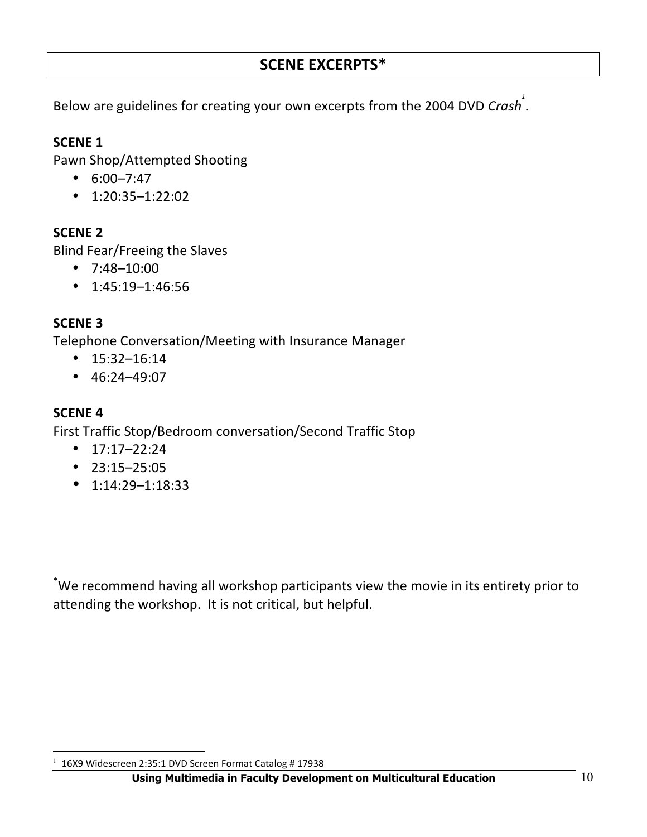#### **SCENE
EXCERPTS\***

Below are guidelines for creating your own excerpts from the 2004 DVD Crash<sup>1</sup>.

#### **SCENE
1**

Pawn
Shop/Attempted
Shooting

- $6:00 7:47$
- $\cdot$  1:20:35-1:22:02

#### **SCENE
2**

Blind
Fear/Freeing
the
Slaves

- 7:48–10:00
- $\cdot$  1:45:19-1:46:56

#### **SCENE
3**

Telephone
Conversation/Meeting
with
Insurance
Manager

- 15:32–16:14
- $\cdot$  46:24-49:07

#### **SCENE
4**

 $\overline{a}$ 

First
Traffic
Stop/Bedroom
conversation/Second
Traffic
Stop

- $\cdot$  17:17–22:24
- 23:15–25:05
- $\bullet$  1:14:29-1:18:33

\*We recommend having all workshop participants view the movie in its entirety prior to attending
the
workshop.

It
is
not
critical,
but
helpful.

<sup>1</sup> 16X9
Widescreen
2:35:1
DVD
Screen
Format
Catalog
#
17938